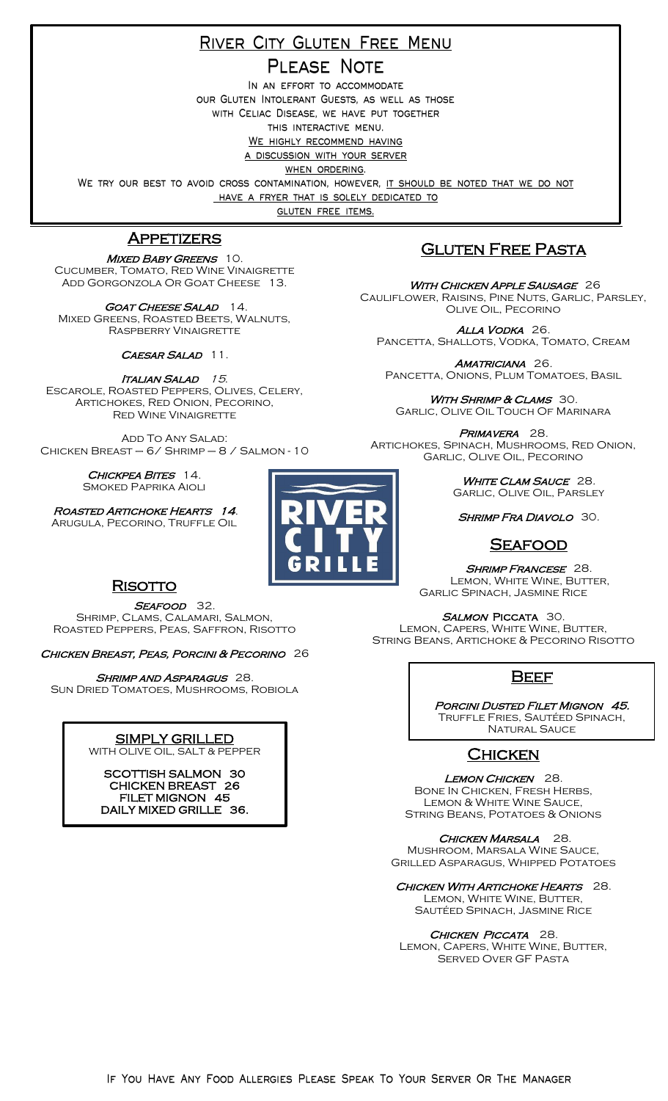# **River City Gluten Free Menu**

### **Please Note**

**In an effort to accommodate our Gluten Intolerant Guests, as well as those with Celiac Disease, we have put together this interactive menu. We highly recommend having a discussion with your server**

**when ordering.** 

 $\overline{a}$  **We try our best to avoid cross contamination, however, it should be noted that we do not have a fryer that is solely dedicated to**

**gluten free items.**

# **APPETIZERS**

MIXED BABY GREENS 10. Cucumber, Tomato, Red Wine Vinaigrette ADD GORGONZOLA OR GOAT CHEESE 13.

GOAT CHEESE SALAD 14. Mixed Greens, Roasted Beets, Walnuts, Raspberry Vinaigrette

CAESAR SALAD 11.

Italian Salad 15. Escarole, Roasted Peppers, Olives, Celery, Artichokes, Red Onion, Pecorino, Red Wine Vinaigrette

Add To Any Salad: Chicken Breast – 6/ Shrimp – 8 / Salmon - 10

> CHICKPEA BITES 14. Smoked Paprika Aioli

Roasted Artichoke Hearts 14. Arugula, Pecorino, Truffle Oil



# ֖֚֚֚֬ Gluten Free Pasta

֖֚֚֚֬

WITH CHICKEN APPLE SAUSAGE 26 Cauliflower, Raisins, Pine Nuts, Garlic, Parsley, Olive Oil, Pecorino

Alla Vodka 26. PANCETTA, SHALLOTS, VODKA, TOMATO, CREAM

AMATRICIANA 26. PANCETTA, ONIONS, PLUM TOMATOES, BASIL

WITH SHRIMP & CLAMS 30. Garlic, Olive Oil Touch Of Marinara

PRIMAVERA 28. Artichokes, Spinach, Mushrooms, Red Onion, Garlic, Olive Oil, Pecorino

> WHITE CLAM SAUCE 28. GARLIC, OLIVE OIL, PARSLEY

SHRIMP FRA DIAVOLO 30.

# **SEAFOOD**

SHRIMP FRANCESE 28. Lemon, White Wine, Butter, Garlic Spinach, Jasmine Rice

SALMON PICCATA 30. Lemon, Capers, White Wine, Butter, String Beans, Artichoke & Pecorino Risotto

### **BEEF**

Porcini Dusted Filet Mignon 45. Truffle Fries, Sautéed Spinach, NATURAL SAUCE

# **CHICKEN**

LEMON CHICKEN 28. Bone In Chicken, Fresh Herbs, LEMON & WHITE WINE SAUCE, String Beans, Potatoes & Onions

CHICKEN MARSALA 28. Mushroom, Marsala Wine Sauce, Grilled Asparagus, Whipped Potatoes

CHICKEN WITH ARTICHOKE HEARTS 28. LEMON, WHITE WINE, BUTTER, Sautéed Spinach, Jasmine Rice

CHICKEN PICCATA 28.

Lemon, Capers, White Wine, Butter, Served Over GF Pasta

### <u>RISOTTO</u>

SEAFOOD 32.

Shrimp, Clams, Calamari, Salmon, Roasted Peppers, Peas, Saffron, Risotto

CHICKEN BREAST, PEAS, PORCINI & PECORINO 26

SHRIMP AND ASPARAGUS 28. Sun Dried Tomatoes, Mushrooms, Robiola

### **SIMPLY GRILLED**

WITH OLIVE OIL, SALT & PEPPER

SCOTTISH SALMON 30 CHICKEN BREAST 26 FILET MIGNON 45 DAILY MIXED GRILLE 36. 

Ξ

MARKET VEGETABLES